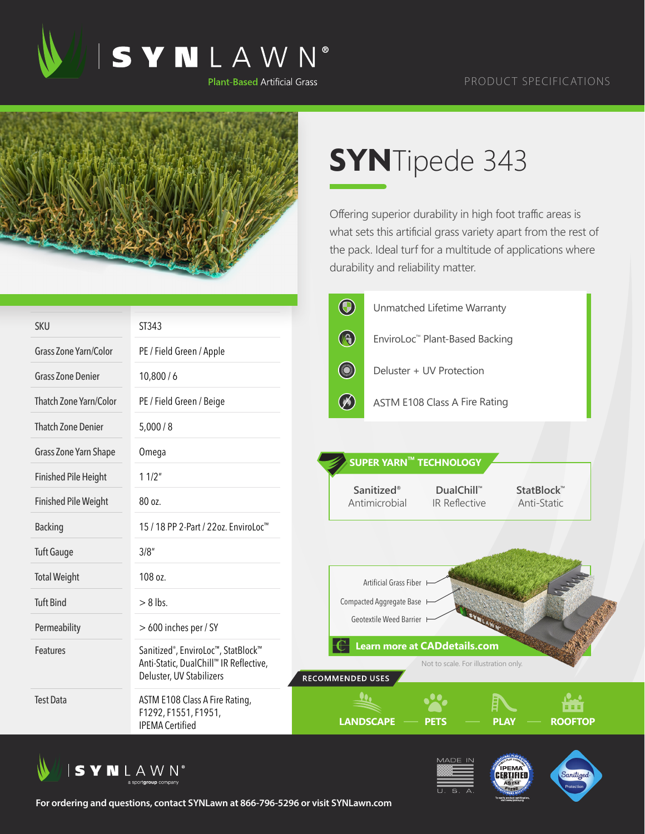

## PRODUCT SPECIFICATIONS



## **SYN**Tipede 343

Offering superior durability in high foot traffic areas is what sets this artificial grass variety apart from the rest of the pack. Ideal turf for a multitude of applications where durability and reliability matter.

|                              |                                                                                                                       | $\bigcirc$<br>Unmatched Lifetime Warranty                                                           |
|------------------------------|-----------------------------------------------------------------------------------------------------------------------|-----------------------------------------------------------------------------------------------------|
| <b>SKU</b>                   | ST343                                                                                                                 |                                                                                                     |
| <b>Grass Zone Yarn/Color</b> | PE / Field Green / Apple                                                                                              | $\bigcirc$<br>EnviroLoc™ Plant-Based Backing                                                        |
| <b>Grass Zone Denier</b>     | 10,800/6                                                                                                              | <b>CONTROL</b><br>Deluster + UV Protection                                                          |
| Thatch Zone Yarn/Color       | PE / Field Green / Beige                                                                                              | $\circledast$<br><b>ASTM E108 Class A Fire Rating</b>                                               |
| <b>Thatch Zone Denier</b>    | 5,000/8                                                                                                               |                                                                                                     |
| Grass Zone Yarn Shape        | Omega                                                                                                                 | SUPER YARN™ TECHNOLOGY                                                                              |
| <b>Finished Pile Height</b>  | 11/2"                                                                                                                 |                                                                                                     |
| <b>Finished Pile Weight</b>  | 80 oz.                                                                                                                | Sanitized <sup>®</sup><br>DualChill™<br>StatBlock™<br>Antimicrobial<br>IR Reflective<br>Anti-Static |
| <b>Backing</b>               | 15 / 18 PP 2-Part / 22oz. EnviroLoc <sup>™</sup>                                                                      |                                                                                                     |
| <b>Tuft Gauge</b>            | 3/8''                                                                                                                 |                                                                                                     |
| <b>Total Weight</b>          | 108 oz.                                                                                                               | Artificial Grass Fiber                                                                              |
| <b>Tuft Bind</b>             | $> 8$ lbs.                                                                                                            | Compacted Aggregate Base                                                                            |
| Permeability                 | > 600 inches per / SY                                                                                                 | Geotextile Weed Barrier I                                                                           |
| Features                     | Sanitized <sup>®</sup> , EnviroLoc™, StatBlock™<br>Anti-Static, DualChill™ IR Reflective,<br>Deluster, UV Stabilizers | <b>Learn more at CADdetails.com</b><br>Not to scale. For illustration only.<br>RECOMMENDED USES     |
| <b>Test Data</b>             | ASTM E108 Class A Fire Rating,<br>F1292, F1551, F1951,<br><b>IPEMA Certified</b>                                      | 88 B B<br><b>LANDSCAPE</b><br><b>PLAY</b><br><b>ROOFTOP</b><br>PETS                                 |







**For ordering and questions, contact SYNLawn at 866-796-5296 or visit SYNLawn.com**